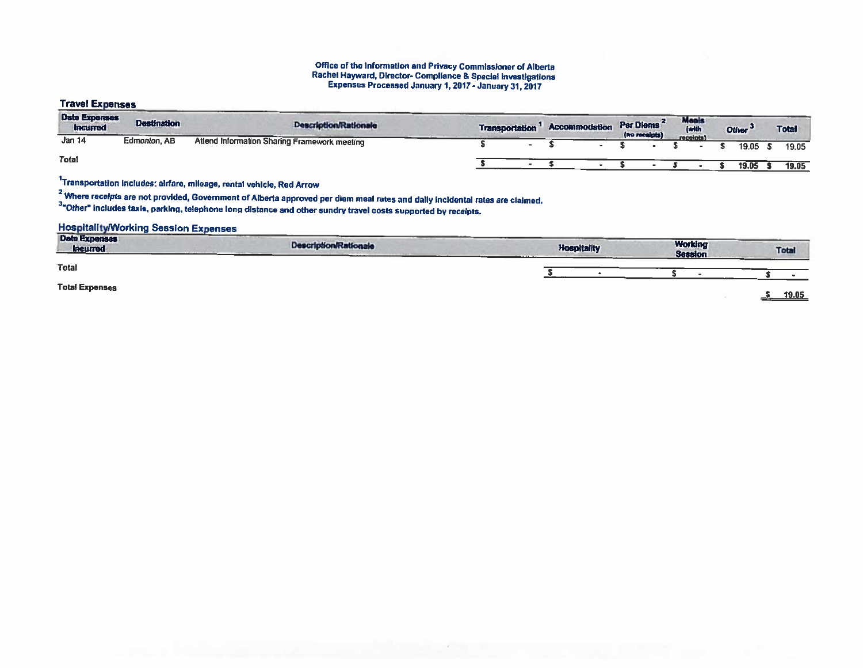#### Office of the Information and Privacy Commissioner of Alberta Rachel Hayward, Director- Compliance & Special investigations Expenses Processed January 1,2017 - January 31, <sup>2017</sup>

## Travel Expenses

| <b>Date Expenses</b><br><b>Incurred</b> | <b>Destination</b>  | <b>Description/Rationale</b>                 | <b>Transportation</b> | Accommodation | Per Diems<br>(no receipts) | Meals<br>(with | Other <sup>-</sup> | <b>Total</b> |
|-----------------------------------------|---------------------|----------------------------------------------|-----------------------|---------------|----------------------------|----------------|--------------------|--------------|
| <b>Jan 14</b>                           | <b>Edmonton, AB</b> | Attend Information Sharing Framework meeting |                       |               |                            | receipts)      | 19.05 \$           | 19.05        |
| <b>Total</b>                            |                     |                                              |                       |               |                            |                | 19.05              | 19.05        |

1Transportatlon Includes: airfare, mileage, rental vehicle, Red Arrow

 $<sup>2</sup>$  Where receipts are not provided, Government of Alberta approved per diem meal rates and daily incidental rates are claimed</sup>

3"Other' includes (axIs, parking, telephone long distance and other sundry travel costs supported by receipts.

## **Hospitality/Working Session Expenses**

| Date Expenses<br><b>Incurred</b> | ____<br><b>Description/Rationale</b> | <b>Hospitality</b> | <b>Working</b><br><b>Session</b> | <b>Total</b> |
|----------------------------------|--------------------------------------|--------------------|----------------------------------|--------------|
| <b>Total</b>                     |                                      |                    |                                  |              |
| <b>Total Expenses</b>            |                                      |                    |                                  | 19.05<br>—⊷  |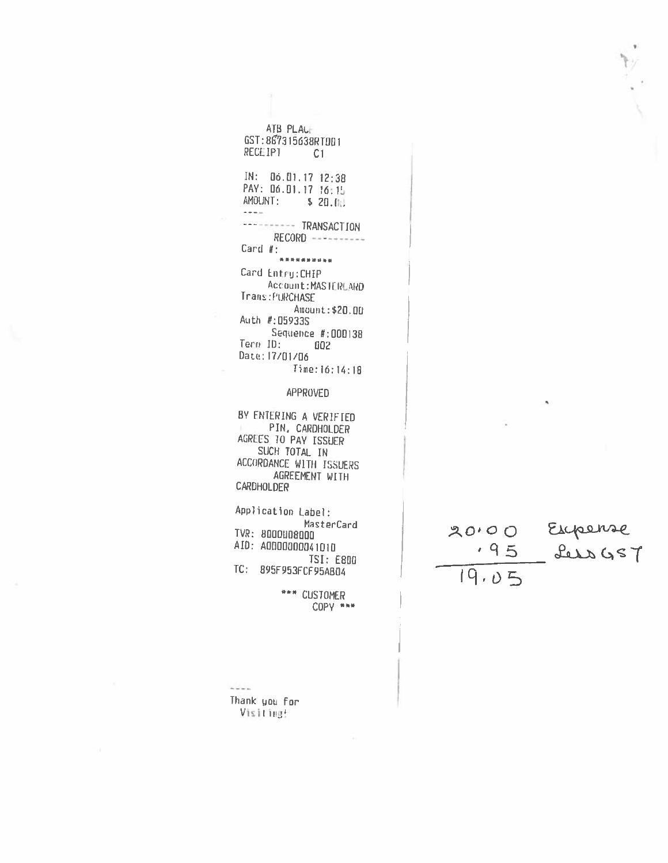ATB PLACE GST: 867315638RT001 RECEIPT C1

 $IN: 06.01.1712:38$ PAY: 06.01.17 16:15 AMOUNT: \$ 20.00  $\sim$   $\sim$   $\sim$   $\mu\mathrm{s}$ --------- TRANSACTION  $RECORD$ Card  $#$ : \*\*\*\*\*\*\*\*\*\* Card Entry: CHIP Account: MASTERLARD Trans: PURCHASE Amount: \$20.00 Auth #:059335 Sequence #:000138 Term ID:  $002$ Date: 17/01/06 Time: 16:14:18

### APPROVED

BY ENTERING A VERIFIED PIN, CARDHOLDER AGREES TO PAY ISSUER SUCH TOTAL IN ACCORDANCE WITH ISSUERS AGREEMENT WITH CARDHOLDER

Application Label: MasterCard TVR: 8000008000 AID: A0000000041010 **TSI: E800** TC: 895F953FCF95AB04

> \*\*\* CUSTOMER COPY \*\*\*

 $\frac{1}{2}$ Thank you for Visiting!

20.00 Expense  $19.05$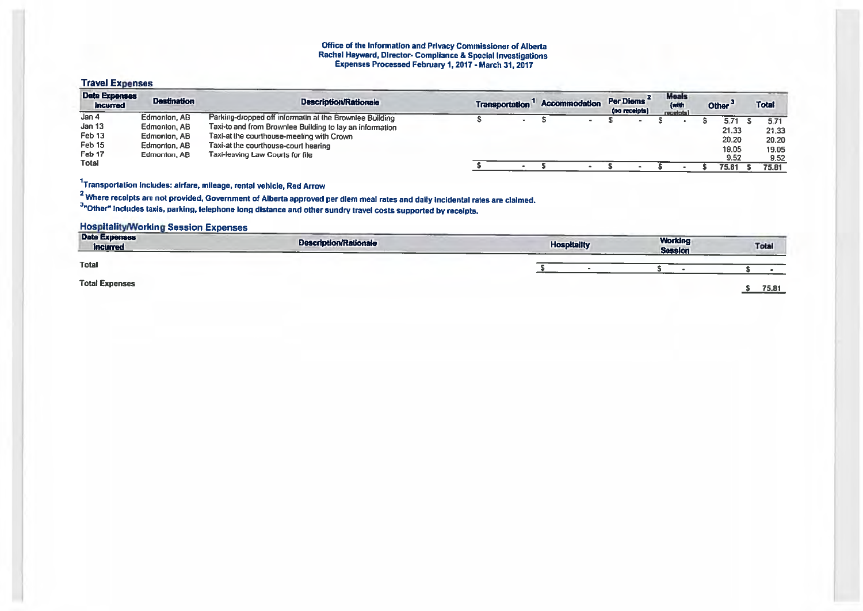#### Office of the Information and Privacy Commissioner of Alberta Rachel Hayward, Director- Compliance & Special Investigations Expenses Processed February 1, 2017 - March 31, 2017

## Travel Expenses

| <b>Date Expenses</b><br>Incurred | <b>Destination</b> | <b>Description/Rationale</b>                             | <b>Transportation</b> | <b>Accommodation</b> | Per Diems<br>(no receipts) | <b>Meals</b><br>(with<br>receiots) | Other <sup>3</sup> | Total |
|----------------------------------|--------------------|----------------------------------------------------------|-----------------------|----------------------|----------------------------|------------------------------------|--------------------|-------|
| Jan 4                            | Edmonton, AB       | Parking-dropped off informatin at the Brownlee Building  |                       |                      |                            |                                    | $5.7^{\circ}$      | 5.71  |
| Jan 13                           | Edmonton, AB       | Taxi-to and from Brownlee Building to lay an information |                       |                      |                            |                                    | 21.33              | 21.33 |
| Feb <sub>13</sub>                | Edmonton, AB       | Taxi-at the courthouse-meeting with Crown                |                       |                      |                            |                                    | 20.20              |       |
| Feb 15                           | Edmonton, AB       | Taxi-at the courthouse-court hearing                     |                       |                      |                            |                                    |                    | 20.20 |
| Feb 17                           | Edmonton, AB       | Taxi-leaving Law Courts for file                         |                       |                      |                            |                                    | 19.05              | 19.05 |
| <b>Total</b>                     |                    |                                                          |                       |                      |                            |                                    | 9.52               | 9.52  |
|                                  |                    |                                                          |                       |                      |                            |                                    | 75.81              | 75.81 |

# 1Transportation Includes: airfare, mileage, rental vehicle, Red Arrow

<sup>2</sup> Where recelpts are not provided, Government of Alberta approved per diem meal rates and daily incidental rates are claimed.

<sup>3</sup>"Other" includes taxis, parking, telephone long distance and other sundry travel costs supported by receipts.

## **Hospitality/Working Session Expenses**

| <b>Date Expenses</b><br><b>Incurred</b> | <b>Description/Rationale</b> | <b>Hospitality</b> | <b>Working</b><br><b>Session</b> | Total |
|-----------------------------------------|------------------------------|--------------------|----------------------------------|-------|
| <b>Total</b>                            |                              |                    |                                  |       |
| <b>Total Expenses</b>                   |                              |                    |                                  | 75.81 |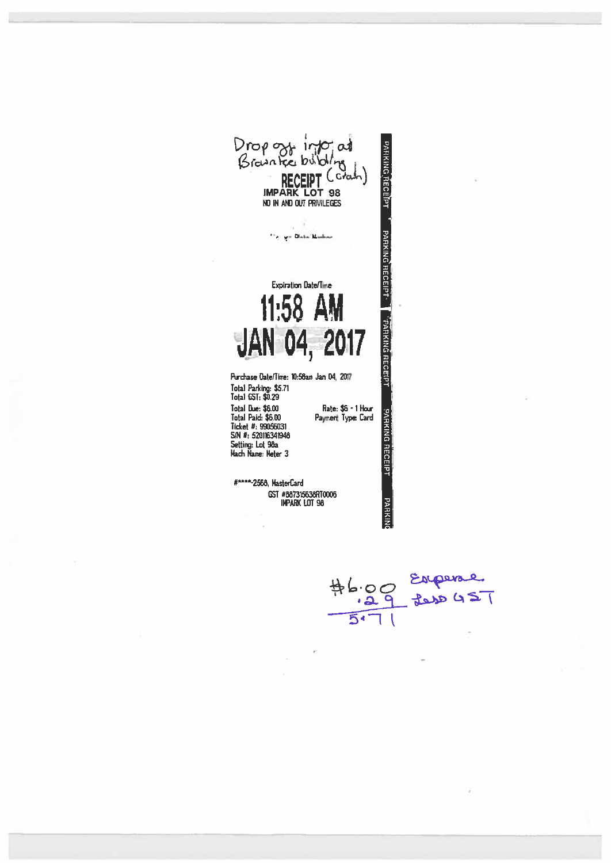Drop out info at<br>Brownted birding<br>RECEIPT (crain)<br>IMPARK LOT 98 PARKING RECEPT NO IN AND OUT PRIVILEGES <u>равкімо яесеірт Уранкімо яесеірт</u> 114 y + Olste | Masher **Expiration Date/Time** 



Purchase Date/Time: 10:56am Jan 04, 2017 Total Parking: \$5.71<br>Total GST: \$0.29 Total Due: \$6.00 Rate: \$6 - 1 Hour Total Paid: \$6.00<br>Ticket #: 99056031<br>S/N #: 52016341948 Payment Type: Card Setting: Lot 98a<br>Mach Name: Meter 3

#\*\*\*\*-2568, MasterCard GST #887315638RT0006 **IMPARK LOT 98** 

 $#6.00$  Expense  $\overline{51}$ 

PARKING RECEIPT

**PARKING**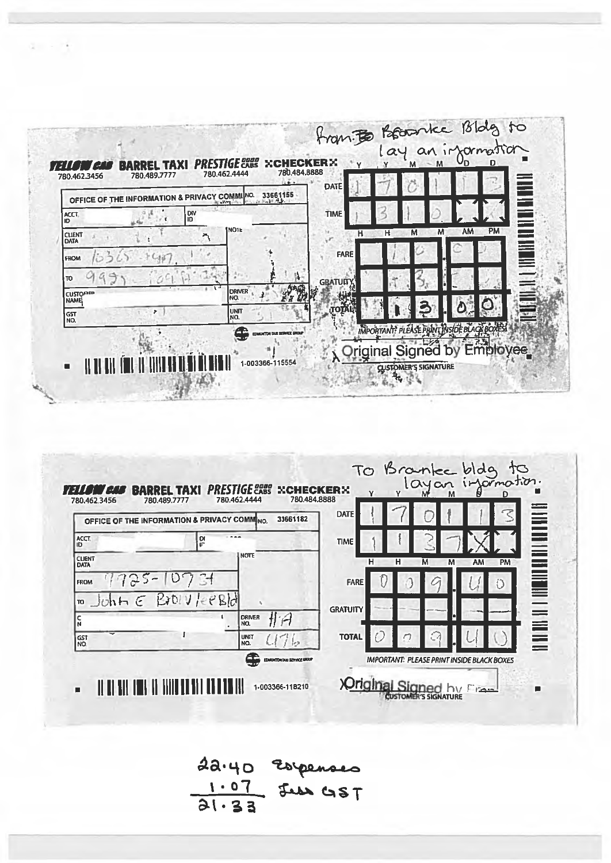



22.40 Espenses  $rac{1.07}{21.33}$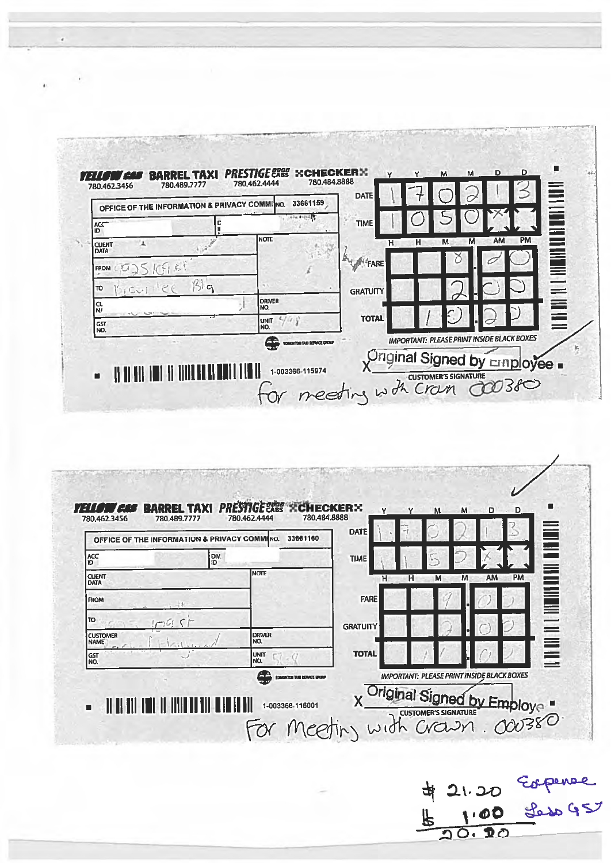| OFFICE OF THE INFORMATION & PRIVACY COMMINO.<br>ACC |           | 33661159              | <b>TIME</b>       |             |                 | Ē               |
|-----------------------------------------------------|-----------|-----------------------|-------------------|-------------|-----------------|-----------------|
| ID.<br><b>CLIENT</b><br><b>DATA</b>                 |           | Inote                 | н                 | M<br>м<br>н | <b>PM</b><br>AM | =               |
| <b>FROM</b>                                         | ぶす        |                       | <b>ANTICHTERE</b> |             |                 | <b>THE HIGH</b> |
| $\epsilon$<br>το<br>NCV                             | $\beta$ g |                       | <b>GRATUITY</b>   |             |                 |                 |
| CL<br>l N/                                          |           | <b>DRIVER</b><br>INO. |                   |             |                 |                 |
| GST<br>NO.                                          |           | UNIT<br>NO.           | <b>TOTAL</b>      |             |                 |                 |

 $\sim$ 

à.

|                                | OFFICE OF THE INFORMATION & PRIVACY COMMINO. | 33661160             | <b>DATE</b>     |             |                        |                   |
|--------------------------------|----------------------------------------------|----------------------|-----------------|-------------|------------------------|-------------------|
| ACC <sub>10</sub>              | DIV.                                         |                      | <b>TIME</b>     |             |                        | <b>ENGINEER</b>   |
| <b>CLIENT</b><br><b>DATA</b>   |                                              | Inote                | н               | M<br>H<br>M | <b>PM</b><br><b>AM</b> |                   |
| <b>FROM</b>                    | $1 - 10$                                     |                      | <b>FARE</b>     |             |                        | <b>THE LEADER</b> |
| TO<br>اسم!                     |                                              |                      | <b>GRATUITY</b> |             |                        |                   |
| <b>CUSTOMER</b><br><b>NAME</b> |                                              | <b>DRIVER</b><br>NO. |                 |             |                        |                   |
| GST<br>NO.                     |                                              | UNIT<br>NO.          | <b>TOTAL</b>    |             |                        |                   |

\$21.20 Esperee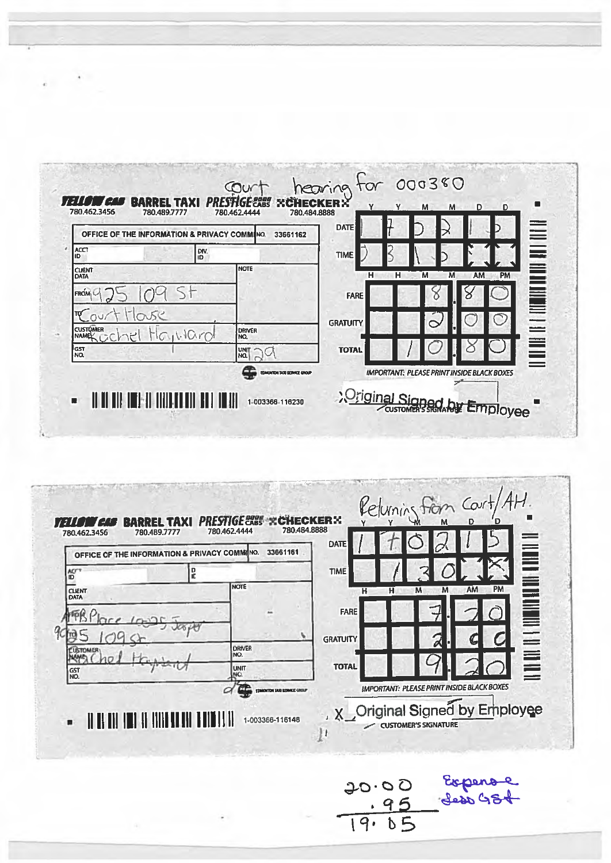|                             | OFFICE OF THE INFORMATION & PRIVACY COMMING. | 33661162       | <b>DATE</b>     |        | ≣                                                                                                                                                                                                                                                                                                                                                                                                                           |
|-----------------------------|----------------------------------------------|----------------|-----------------|--------|-----------------------------------------------------------------------------------------------------------------------------------------------------------------------------------------------------------------------------------------------------------------------------------------------------------------------------------------------------------------------------------------------------------------------------|
| ACCT<br>ID                  | DIV.                                         |                | <b>TIME</b>     |        |                                                                                                                                                                                                                                                                                                                                                                                                                             |
| <b>CUENT</b><br><b>DATA</b> |                                              | <b>NOTE</b>    | н               | н<br>M | PM<br><b>AM</b><br>M                                                                                                                                                                                                                                                                                                                                                                                                        |
| <b>FROM</b>                 |                                              |                | <b>FARE</b>     |        | $\begin{array}{c} \textbf{H} \textbf{H} \textbf{H} \textbf{H} \textbf{H} \textbf{H} \textbf{H} \textbf{H} \textbf{H} \textbf{H} \textbf{H} \textbf{H} \textbf{H} \textbf{H} \textbf{H} \textbf{H} \textbf{H} \textbf{H} \textbf{H} \textbf{H} \textbf{H} \textbf{H} \textbf{H} \textbf{H} \textbf{H} \textbf{H} \textbf{H} \textbf{H} \textbf{H} \textbf{H} \textbf{H} \textbf{H} \textbf{H} \textbf{H} \textbf{H} \textbf$ |
|                             |                                              |                | <b>GRATUITY</b> |        | $\bigcap$                                                                                                                                                                                                                                                                                                                                                                                                                   |
| <b>CUSTOMER</b><br>NAMEL⁄   | Mayviard                                     | Driver<br>İΝQ. |                 |        |                                                                                                                                                                                                                                                                                                                                                                                                                             |
| GST<br>NO.                  |                                              | UNIT<br>NO.    | <b>TOTAL</b>    |        | Ë                                                                                                                                                                                                                                                                                                                                                                                                                           |

|                              | OFFICE OF THE INFORMATION & PRIVACY COMMING. | 33661161 | <b>DATE</b>     |             |                                                                                                                |
|------------------------------|----------------------------------------------|----------|-----------------|-------------|----------------------------------------------------------------------------------------------------------------|
| <b>ACT</b><br>ID             | D<br>IC                                      |          | <b>TIME</b>     |             | P.                                                                                                             |
| <b>CLIENT</b><br><b>DATA</b> | <b>NOTE</b>                                  |          | н               | M<br>M<br>н | <b>PM</b><br><b>AM</b>                                                                                         |
|                              |                                              |          | <b>FARE</b>     |             | IL DE LA PARTICIPAT DE LA PROPERTATION DE LA PROPERTATION DE LA PROPERTATION DE LA PROPERTATION DE LA PROPERTA |
|                              |                                              |          | <b>GRATUITY</b> |             |                                                                                                                |
| <b>CUSTOMER</b>              | Idriver<br>NO.                               |          |                 |             |                                                                                                                |
| <b>GST</b><br>NO.            | <b>UNIT</b><br>NO.                           |          | <b>TOTAL</b>    |             |                                                                                                                |

į,

20.00 Experience